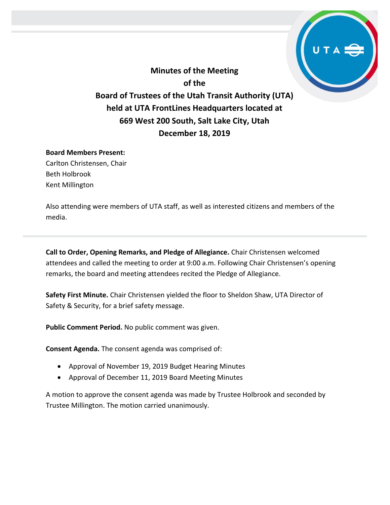**Minutes of the Meeting of the Board of Trustees of the Utah Transit Authority (UTA) held at UTA FrontLines Headquarters located at 669 West 200 South, Salt Lake City, Utah December 18, 2019**

#### **Board Members Present:**

Carlton Christensen, Chair Beth Holbrook Kent Millington

Also attending were members of UTA staff, as well as interested citizens and members of the media.

**Call to Order, Opening Remarks, and Pledge of Allegiance.** Chair Christensen welcomed attendees and called the meeting to order at 9:00 a.m. Following Chair Christensen's opening remarks, the board and meeting attendees recited the Pledge of Allegiance.

**Safety First Minute.** Chair Christensen yielded the floor to Sheldon Shaw, UTA Director of Safety & Security, for a brief safety message.

**Public Comment Period.** No public comment was given.

**Consent Agenda.** The consent agenda was comprised of:

- Approval of November 19, 2019 Budget Hearing Minutes
- Approval of December 11, 2019 Board Meeting Minutes

A motion to approve the consent agenda was made by Trustee Holbrook and seconded by Trustee Millington. The motion carried unanimously.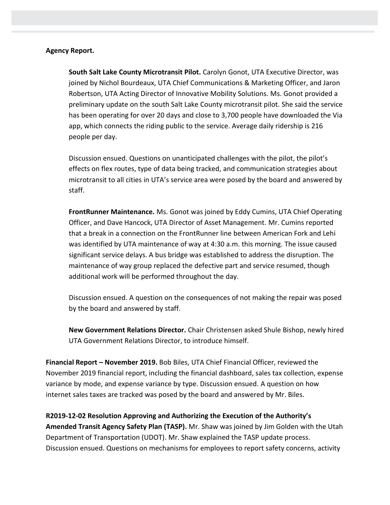### **Agency Report.**

**South Salt Lake County Microtransit Pilot.** Carolyn Gonot, UTA Executive Director, was joined by Nichol Bourdeaux, UTA Chief Communications & Marketing Officer, and Jaron Robertson, UTA Acting Director of Innovative Mobility Solutions. Ms. Gonot provided a preliminary update on the south Salt Lake County microtransit pilot. She said the service has been operating for over 20 days and close to 3,700 people have downloaded the Via app, which connects the riding public to the service. Average daily ridership is 216 people per day.

Discussion ensued. Questions on unanticipated challenges with the pilot, the pilot's effects on flex routes, type of data being tracked, and communication strategies about microtransit to all cities in UTA's service area were posed by the board and answered by staff.

**FrontRunner Maintenance.** Ms. Gonot was joined by Eddy Cumins, UTA Chief Operating Officer, and Dave Hancock, UTA Director of Asset Management. Mr. Cumins reported that a break in a connection on the FrontRunner line between American Fork and Lehi was identified by UTA maintenance of way at 4:30 a.m. this morning. The issue caused significant service delays. A bus bridge was established to address the disruption. The maintenance of way group replaced the defective part and service resumed, though additional work will be performed throughout the day.

Discussion ensued. A question on the consequences of not making the repair was posed by the board and answered by staff.

**New Government Relations Director.** Chair Christensen asked Shule Bishop, newly hired UTA Government Relations Director, to introduce himself.

**Financial Report – November 2019.** Bob Biles, UTA Chief Financial Officer, reviewed the November 2019 financial report, including the financial dashboard, sales tax collection, expense variance by mode, and expense variance by type. Discussion ensued. A question on how internet sales taxes are tracked was posed by the board and answered by Mr. Biles.

**R2019-12-02 Resolution Approving and Authorizing the Execution of the Authority's Amended Transit Agency Safety Plan (TASP).** Mr. Shaw was joined by Jim Golden with the Utah Department of Transportation (UDOT). Mr. Shaw explained the TASP update process. Discussion ensued. Questions on mechanisms for employees to report safety concerns, activity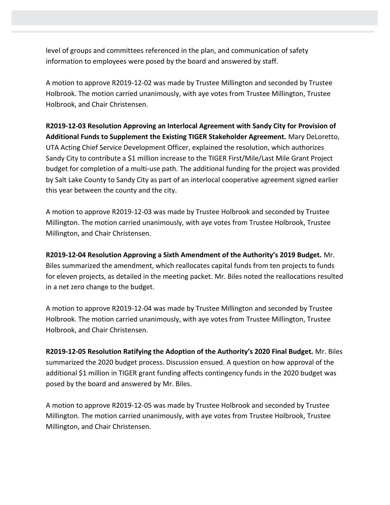level of groups and committees referenced in the plan, and communication of safety information to employees were posed by the board and answered by staff.

A motion to approve R2019-12-02 was made by Trustee Millington and seconded by Trustee Holbrook. The motion carried unanimously, with aye votes from Trustee Millington, Trustee Holbrook, and Chair Christensen.

**R2019-12-03 Resolution Approving an Interlocal Agreement with Sandy City for Provision of Additional Funds to Supplement the Existing TIGER Stakeholder Agreement.** Mary DeLoretto, UTA Acting Chief Service Development Officer, explained the resolution, which authorizes Sandy City to contribute a \$1 million increase to the TIGER First/Mile/Last Mile Grant Project budget for completion of a multi-use path. The additional funding for the project was provided by Salt Lake County to Sandy City as part of an interlocal cooperative agreement signed earlier this year between the county and the city.

A motion to approve R2019-12-03 was made by Trustee Holbrook and seconded by Trustee Millington. The motion carried unanimously, with aye votes from Trustee Holbrook, Trustee Millington, and Chair Christensen.

**R2019-12-04 Resolution Approving a Sixth Amendment of the Authority's 2019 Budget.** Mr. Biles summarized the amendment, which reallocates capital funds from ten projects to funds for eleven projects, as detailed in the meeting packet. Mr. Biles noted the reallocations resulted in a net zero change to the budget.

A motion to approve R2019-12-04 was made by Trustee Millington and seconded by Trustee Holbrook. The motion carried unanimously, with aye votes from Trustee Millington, Trustee Holbrook, and Chair Christensen.

**R2019-12-05 Resolution Ratifying the Adoption of the Authority's 2020 Final Budget.** Mr. Biles summarized the 2020 budget process. Discussion ensued. A question on how approval of the additional \$1 million in TIGER grant funding affects contingency funds in the 2020 budget was posed by the board and answered by Mr. Biles.

A motion to approve R2019-12-05 was made by Trustee Holbrook and seconded by Trustee Millington. The motion carried unanimously, with aye votes from Trustee Holbrook, Trustee Millington, and Chair Christensen.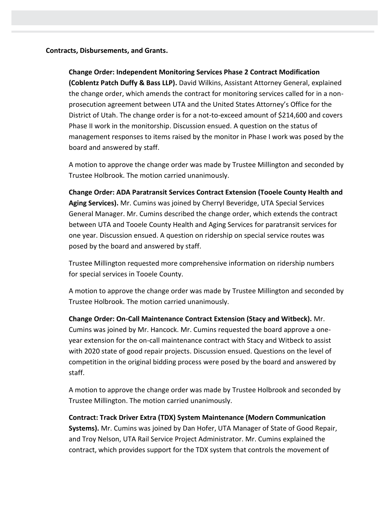#### **Contracts, Disbursements, and Grants.**

# **Change Order: Independent Monitoring Services Phase 2 Contract Modification**

**(Coblentz Patch Duffy & Bass LLP).** David Wilkins, Assistant Attorney General, explained the change order, which amends the contract for monitoring services called for in a nonprosecution agreement between UTA and the United States Attorney's Office for the District of Utah. The change order is for a not-to-exceed amount of \$214,600 and covers Phase II work in the monitorship. Discussion ensued. A question on the status of management responses to items raised by the monitor in Phase I work was posed by the board and answered by staff.

A motion to approve the change order was made by Trustee Millington and seconded by Trustee Holbrook. The motion carried unanimously.

**Change Order: ADA Paratransit Services Contract Extension (Tooele County Health and Aging Services).** Mr. Cumins was joined by Cherryl Beveridge, UTA Special Services General Manager. Mr. Cumins described the change order, which extends the contract between UTA and Tooele County Health and Aging Services for paratransit services for one year. Discussion ensued. A question on ridership on special service routes was posed by the board and answered by staff.

Trustee Millington requested more comprehensive information on ridership numbers for special services in Tooele County.

A motion to approve the change order was made by Trustee Millington and seconded by Trustee Holbrook. The motion carried unanimously.

**Change Order: On-Call Maintenance Contract Extension (Stacy and Witbeck).** Mr. Cumins was joined by Mr. Hancock. Mr. Cumins requested the board approve a oneyear extension for the on-call maintenance contract with Stacy and Witbeck to assist with 2020 state of good repair projects. Discussion ensued. Questions on the level of competition in the original bidding process were posed by the board and answered by staff.

A motion to approve the change order was made by Trustee Holbrook and seconded by Trustee Millington. The motion carried unanimously.

**Contract: Track Driver Extra (TDX) System Maintenance (Modern Communication Systems).** Mr. Cumins was joined by Dan Hofer, UTA Manager of State of Good Repair, and Troy Nelson, UTA Rail Service Project Administrator. Mr. Cumins explained the contract, which provides support for the TDX system that controls the movement of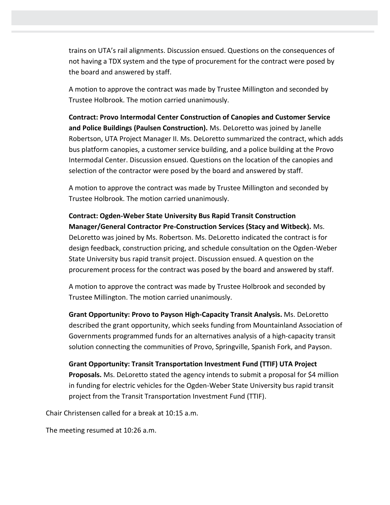trains on UTA's rail alignments. Discussion ensued. Questions on the consequences of not having a TDX system and the type of procurement for the contract were posed by the board and answered by staff.

A motion to approve the contract was made by Trustee Millington and seconded by Trustee Holbrook. The motion carried unanimously.

**Contract: Provo Intermodal Center Construction of Canopies and Customer Service and Police Buildings (Paulsen Construction).** Ms. DeLoretto was joined by Janelle Robertson, UTA Project Manager II. Ms. DeLoretto summarized the contract, which adds bus platform canopies, a customer service building, and a police building at the Provo Intermodal Center. Discussion ensued. Questions on the location of the canopies and selection of the contractor were posed by the board and answered by staff.

A motion to approve the contract was made by Trustee Millington and seconded by Trustee Holbrook. The motion carried unanimously.

**Contract: Ogden-Weber State University Bus Rapid Transit Construction Manager/General Contractor Pre-Construction Services (Stacy and Witbeck).** Ms. DeLoretto was joined by Ms. Robertson. Ms. DeLoretto indicated the contract is for design feedback, construction pricing, and schedule consultation on the Ogden-Weber State University bus rapid transit project. Discussion ensued. A question on the procurement process for the contract was posed by the board and answered by staff.

A motion to approve the contract was made by Trustee Holbrook and seconded by Trustee Millington. The motion carried unanimously.

**Grant Opportunity: Provo to Payson High-Capacity Transit Analysis.** Ms. DeLoretto described the grant opportunity, which seeks funding from Mountainland Association of Governments programmed funds for an alternatives analysis of a high-capacity transit solution connecting the communities of Provo, Springville, Spanish Fork, and Payson.

**Grant Opportunity: Transit Transportation Investment Fund (TTIF) UTA Project Proposals.** Ms. DeLoretto stated the agency intends to submit a proposal for \$4 million in funding for electric vehicles for the Ogden-Weber State University bus rapid transit project from the Transit Transportation Investment Fund (TTIF).

Chair Christensen called for a break at 10:15 a.m.

The meeting resumed at 10:26 a.m.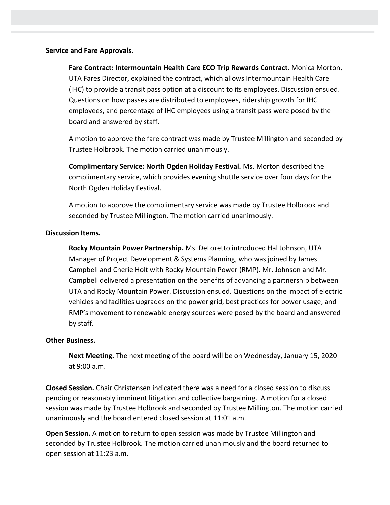### **Service and Fare Approvals.**

**Fare Contract: Intermountain Health Care ECO Trip Rewards Contract.** Monica Morton, UTA Fares Director, explained the contract, which allows Intermountain Health Care (IHC) to provide a transit pass option at a discount to its employees. Discussion ensued. Questions on how passes are distributed to employees, ridership growth for IHC employees, and percentage of IHC employees using a transit pass were posed by the board and answered by staff.

A motion to approve the fare contract was made by Trustee Millington and seconded by Trustee Holbrook. The motion carried unanimously.

**Complimentary Service: North Ogden Holiday Festival.** Ms. Morton described the complimentary service, which provides evening shuttle service over four days for the North Ogden Holiday Festival.

A motion to approve the complimentary service was made by Trustee Holbrook and seconded by Trustee Millington. The motion carried unanimously.

### **Discussion Items.**

**Rocky Mountain Power Partnership.** Ms. DeLoretto introduced Hal Johnson, UTA Manager of Project Development & Systems Planning, who was joined by James Campbell and Cherie Holt with Rocky Mountain Power (RMP). Mr. Johnson and Mr. Campbell delivered a presentation on the benefits of advancing a partnership between UTA and Rocky Mountain Power. Discussion ensued. Questions on the impact of electric vehicles and facilities upgrades on the power grid, best practices for power usage, and RMP's movement to renewable energy sources were posed by the board and answered by staff.

# **Other Business.**

**Next Meeting.** The next meeting of the board will be on Wednesday, January 15, 2020 at 9:00 a.m.

**Closed Session.** Chair Christensen indicated there was a need for a closed session to discuss pending or reasonably imminent litigation and collective bargaining. A motion for a closed session was made by Trustee Holbrook and seconded by Trustee Millington. The motion carried unanimously and the board entered closed session at 11:01 a.m.

**Open Session.** A motion to return to open session was made by Trustee Millington and seconded by Trustee Holbrook. The motion carried unanimously and the board returned to open session at 11:23 a.m.